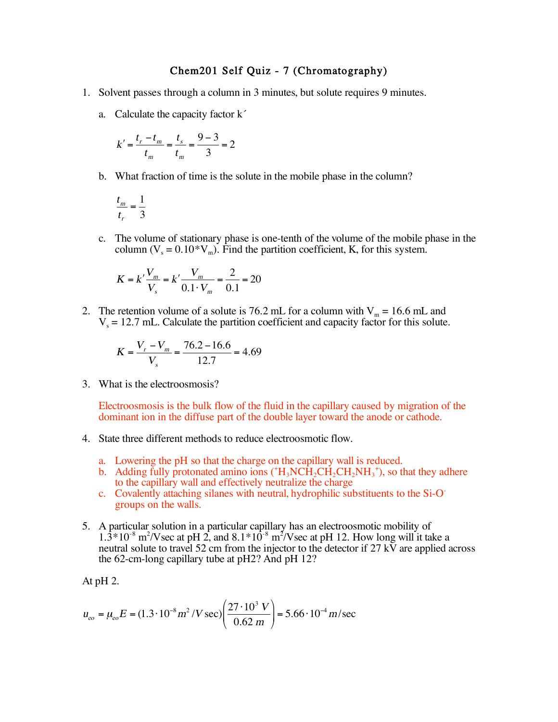## Chem201 Self Quiz - 7 (Chromatography)

- 1. Solvent passes through a column in 3 minutes, but solute requires 9 minutes.
	- a. Calculate the capacity factor k´

$$
k' = \frac{t_r - t_m}{t_m} = \frac{t_s}{t_m} = \frac{9 - 3}{3} = 2
$$

b. What fraction of time is the solute in the mobile phase in the column?

$$
\frac{t_m}{t_r} = \frac{1}{3}
$$

c. The volume of stationary phase is one-tenth of the volume of the mobile phase in the column  $(V_s = 0.10*V_m)$ . Find the partition coefficient, K, for this system.

$$
K = k' \frac{V_m}{V_s} = k' \frac{V_m}{0.1 \cdot V_m} = \frac{2}{0.1} = 20
$$

2. The retention volume of a solute is 76.2 mL for a column with  $V_m = 16.6$  mL and  $V<sub>s</sub> = 12.7$  mL. Calculate the partition coefficient and capacity factor for this solute.

$$
K = \frac{V_r - V_m}{V_s} = \frac{76.2 - 16.6}{12.7} = 4.69
$$

3. What is the electroosmosis?

Electroosmosis is the bulk flow of the fluid in the capillary caused by migration of the dominant ion in the diffuse part of the double layer toward the anode or cathode.

- 4. State three different methods to reduce electroosmotic flow.
	- a. Lowering the pH so that the charge on the capillary wall is reduced.
	- b. Adding fully protonated amino ions ( $H_3N\dot{CH}_2CH_2NH_3^*$ ), so that they adhere to the capillary wall and effectively neutralize the charge
	- c. Covalently attaching silanes with neutral, hydrophilic substituents to the Si-Ogroups on the walls.
- 5. A particular solution in a particular capillary has an electroosmotic mobility of  $1.3*10<sup>-8</sup>$  m<sup>2</sup>/Vsec at pH 2, and  $8.1*10<sup>-8</sup>$  m<sup>2</sup>/Vsec at pH 12. How long will it take a neutral solute to travel 52 cm from the injector to the detector if 27  $\tilde{K}$  are applied across the 62-cm-long capillary tube at pH2? And pH 12?

At pH 2.

$$
u_{\text{eo}} = \mu_{\text{eo}} E = (1.3 \cdot 10^{-8} \, \text{m}^2 \, / \text{V} \, \text{sec}) \left( \frac{27 \cdot 10^3 \, \text{V}}{0.62 \, \text{m}} \right) = 5.66 \cdot 10^{-4} \, \text{m/sec}
$$